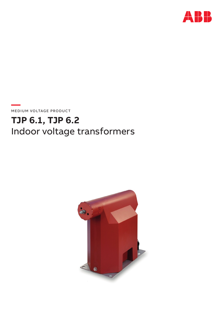

**—**  MEDIUM VOLTAGE PRODUCT

# **TJP 6.1, TJP 6.2** Indoor voltage transformers

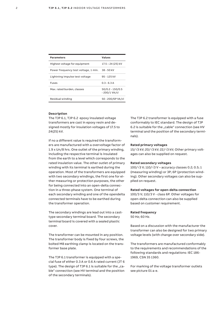| <b>Parameters</b>                    | <b>Values</b>                       |
|--------------------------------------|-------------------------------------|
| Highest voltage for equipment        | 17.5 – 24 (25) kV                   |
| Power frequency test voltage, 1 min. | $38 - 50$ kV                        |
| Lightning impulse test voltage       | 95 - 125 kV                         |
| <b>Fuses</b>                         | $03 - 63A$                          |
| Max. rated burden. classes           | $50/0.2 - 150/0.5$<br>- 200/1 VA/cl |
| Residual winding                     | 50 - 200/6P VA/cl                   |

### **Description**

The TJP 6.1, TJP 6.2 epoxy insulated voltage transformers are cast in epoxy resin and designed mostly for insulation voltages of 17.5 to 24(25) kV.

If no a different value is required the transformers are manufactured with a overvoltage factor of 1.9 x Un/8 hrs. One outlet of the primary winding, including the respective terminal is insulated from the earth to a level which corresponds to the rated insulation value. The other outlet of primary winding with its terminal is earthed during the operation. Most of the transformers are equipped with two secondary windings, the first one for either measuring or protection purposes, the other for being connected into an open-delta connection in a three-phase system. One terminal of each secondary winding and one of the opendelta connected terminals have to be earthed during the transformer operation.

The secondary windings are lead out into a casttype secondary terminal board. The secondary terminal board is covered with a sealed plastic cover.

The transformer can be mounted in any position. The transformer body is fixed by four screws, the bolted M8 earthing clamp is located on the transformer base plate.

The TJP 6.1 transformer is equipped with a special fuse of either 0.3 A or 0.6 A rated current (JT 6 type). The design of TJP  $6.1$  is suitable for the "cable" connection (see HV terminal and the position of the secondary terminals).

The TJP 6.2 transformer is equipped with a fuse conformably to IEC standard. The design of TJP 6.2 is suitable for the "cable" connection (see HV terminal and the position of the secondary terminals).

### **Rated primary voltages**

15/√3 kV; 20/√3 kV; 22/√3 kV; Other primary voltages can also be supplied on request.

#### **Rated secondary voltages**

100/√3 V; 110/√3 V – accuracy classes 0.2; 0.5; 1 (measuring winding) or 3P; 6P (protection winding). Other secondary voltages can also be supplied on request.

#### **Rated voltages for open-delta connection**

100/3 V; 110/3 V - class 6P. Other voltages for open-delta connection can also be supplied based on customer requirement.

#### **Rated frequency**

50 Hz; 60 Hz.

Based on a discussion with the manufacturer the transformer can also be designed for two primary voltage levels (with change over secondary side).

The transformers are manufactured conformably to the requirements and recommendations of the following standards and regulations: IEC 186- 1969, CSN 35 1360.

For marking of the voltage transformer outlets see picture 01 a-e.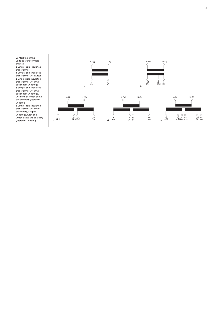01 Marking of the voltage transformers outlets **a** Single-pole insulated transformer **b** Single-pole insulated transformer with a tap **c** Single-pole insulated<br>transformer with two secondary windings **d** Single-pole insulated transformer with two secondary windings, with one of which being the auxiliary (residual) winding **e** Single-pole insulated transformer with two secondary, tapped windings, with one

—



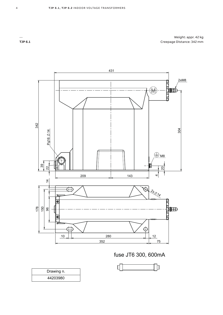Weight: appr. 42 kg Creepage Distance: 342 mm



fuse JT6 300, 600mA

| Drawing n. |
|------------|
| 44203980   |



**TJP 6.1**

—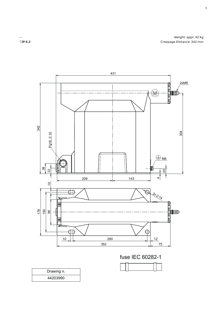Weight: appr. 42 kg Creepage Distance: 342 mm



T**JP 6.2**

—